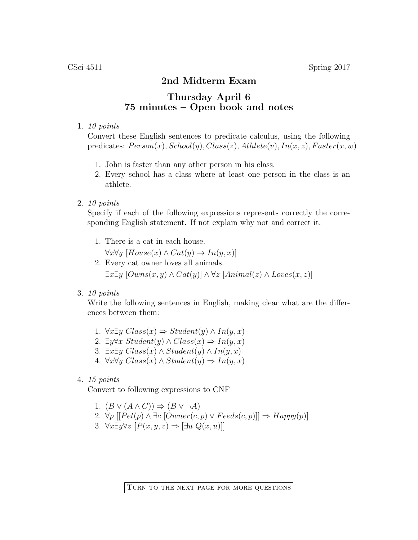## 2nd Midterm Exam

## Thursday April 6 75 minutes – Open book and notes

## 1. 10 points

Convert these English sentences to predicate calculus, using the following predicates:  $Person(x)$ ,  $School(y)$ ,  $Class(z)$ ,  $Athlete(v)$ ,  $In(x, z)$ ,  $Faster(x, w)$ 

- 1. John is faster than any other person in his class.
- 2. Every school has a class where at least one person in the class is an athlete.
- 2. 10 points

Specify if each of the following expressions represents correctly the corresponding English statement. If not explain why not and correct it.

1. There is a cat in each house.

 $\forall x \forall y \ [House(x) \land Cat(y) \rightarrow In(y,x)]$ 

- 2. Every cat owner loves all animals.  $\exists x \exists y \ [Owns(x, y) \land Cat(y)] \land \forall z [Animal(z) \land Loves(x, z)]$
- 3. 10 points

Write the following sentences in English, making clear what are the differences between them:

- 1. ∀x∃y  $Class(x)$   $\Rightarrow Student(y) \land In(y, x)$
- 2.  $\exists y \forall x \; Student(y) \land Class(x) \Rightarrow In(y, x)$
- 3. ∃x∃y  $Class(x) \wedge Student(y) \wedge In(y, x)$
- 4.  $\forall x \forall y \ Class(x) \land Student(y) \Rightarrow In(y, x)$
- 4. 15 points

Convert to following expressions to CNF

- 1.  $(B \vee (A \wedge C)) \Rightarrow (B \vee \neg A)$
- 2.  $\forall p \, [[Pet(p) \land \exists c \, [Owner(c, p) \lor Feeds(c, p)]] \Rightarrow \text{Happy}(p)]$
- 3. ∀x∃y∀z  $[P(x, y, z) \Rightarrow \exists u Q(x, u)]$

Turn to the next page for more questions